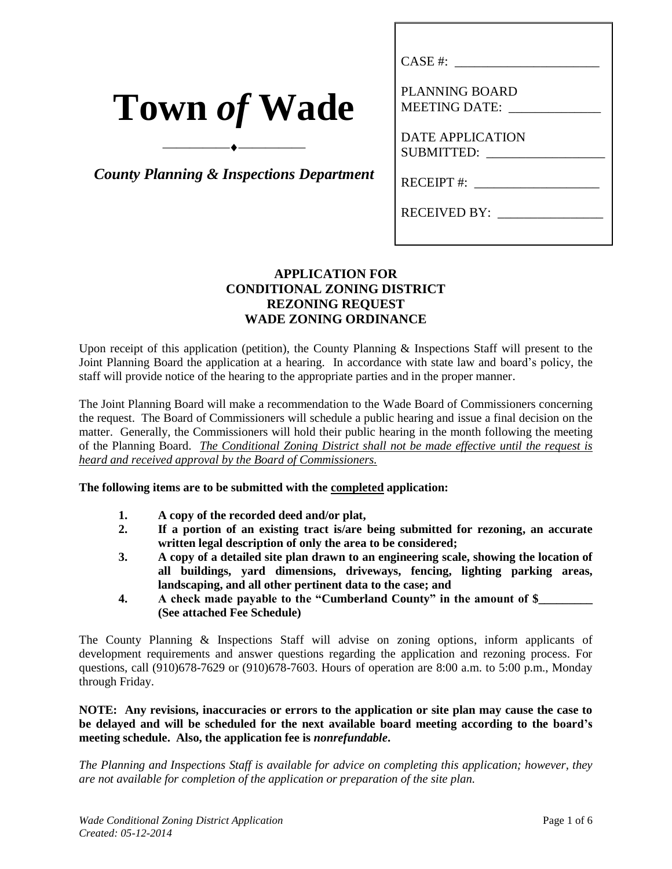| <b>Town of Wade</b> |  |  |  |  |
|---------------------|--|--|--|--|
|---------------------|--|--|--|--|

*County Planning & Inspections Department*

 $\overbrace{\hspace{2.5cm}}^{\bullet}$ 

| CASE #:                                      |
|----------------------------------------------|
| PLANNING BOARD<br><b>MEETING DATE:</b>       |
| <b>DATE APPLICATION</b><br><b>SUBMITTED:</b> |
| $RECEIPT$ #:                                 |
| <b>RECEIVED BY:</b>                          |

## **APPLICATION FOR CONDITIONAL ZONING DISTRICT REZONING REQUEST WADE ZONING ORDINANCE**

Upon receipt of this application (petition), the County Planning & Inspections Staff will present to the Joint Planning Board the application at a hearing. In accordance with state law and board's policy, the staff will provide notice of the hearing to the appropriate parties and in the proper manner.

The Joint Planning Board will make a recommendation to the Wade Board of Commissioners concerning the request. The Board of Commissioners will schedule a public hearing and issue a final decision on the matter. Generally, the Commissioners will hold their public hearing in the month following the meeting of the Planning Board. *The Conditional Zoning District shall not be made effective until the request is heard and received approval by the Board of Commissioners.*

#### **The following items are to be submitted with the completed application:**

- **1. A copy of the recorded deed and/or plat,**
- **2. If a portion of an existing tract is/are being submitted for rezoning, an accurate written legal description of only the area to be considered;**
- **3. A copy of a detailed site plan drawn to an engineering scale, showing the location of all buildings, yard dimensions, driveways, fencing, lighting parking areas, landscaping, and all other pertinent data to the case; and**
- **4. A check made payable to the "Cumberland County" in the amount of \$\_\_\_\_\_\_\_\_\_ (See attached Fee Schedule)**

The County Planning & Inspections Staff will advise on zoning options, inform applicants of development requirements and answer questions regarding the application and rezoning process. For questions, call (910)678-7629 or (910)678-7603. Hours of operation are 8:00 a.m. to 5:00 p.m., Monday through Friday.

**NOTE: Any revisions, inaccuracies or errors to the application or site plan may cause the case to be delayed and will be scheduled for the next available board meeting according to the board's meeting schedule. Also, the application fee is** *nonrefundable***.**

*The Planning and Inspections Staff is available for advice on completing this application; however, they are not available for completion of the application or preparation of the site plan.*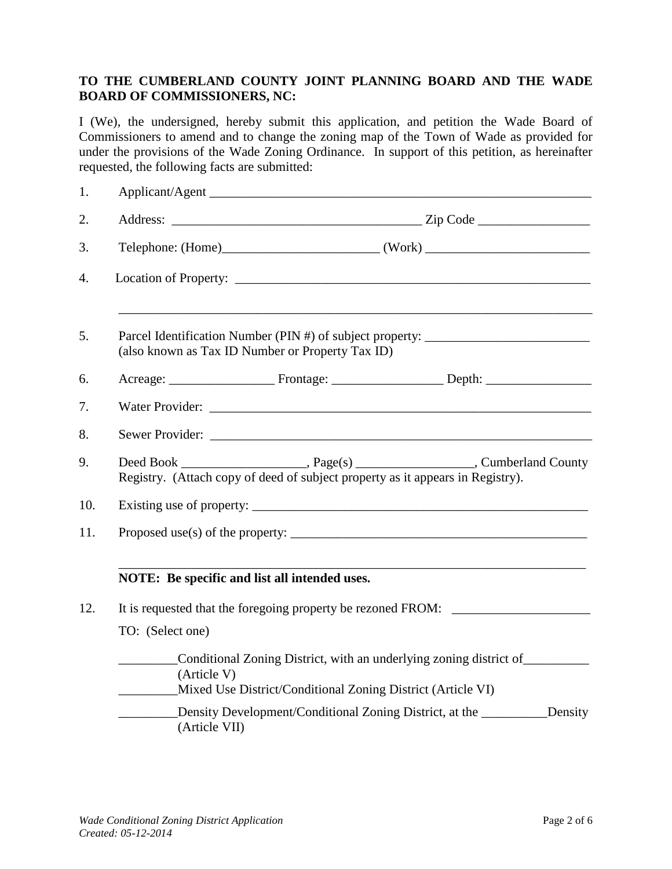# **TO THE CUMBERLAND COUNTY JOINT PLANNING BOARD AND THE WADE BOARD OF COMMISSIONERS, NC:**

I (We), the undersigned, hereby submit this application, and petition the Wade Board of Commissioners to amend and to change the zoning map of the Town of Wade as provided for under the provisions of the Wade Zoning Ordinance. In support of this petition, as hereinafter requested, the following facts are submitted:

| 1.  | Applicant/Agent                                                                                                                                  |
|-----|--------------------------------------------------------------------------------------------------------------------------------------------------|
| 2.  |                                                                                                                                                  |
| 3.  |                                                                                                                                                  |
| 4.  |                                                                                                                                                  |
| 5.  | Parcel Identification Number (PIN #) of subject property: ______________________<br>(also known as Tax ID Number or Property Tax ID)             |
| 6.  |                                                                                                                                                  |
| 7.  | Water Provider:                                                                                                                                  |
| 8.  |                                                                                                                                                  |
| 9.  | Registry. (Attach copy of deed of subject property as it appears in Registry).                                                                   |
| 10. |                                                                                                                                                  |
| 11. | Proposed use(s) of the property: $\frac{1}{2}$ measurements are not all the proposed use(s) of the property:                                     |
|     | NOTE: Be specific and list all intended uses.                                                                                                    |
| 12. | It is requested that the foregoing property be rezoned FROM:                                                                                     |
|     | TO: (Select one)                                                                                                                                 |
|     | Conditional Zoning District, with an underlying zoning district of<br>(Article V)<br>Mixed Use District/Conditional Zoning District (Article VI) |
|     | Density Development/Conditional Zoning District, at the ___________Density<br>(Article VII)                                                      |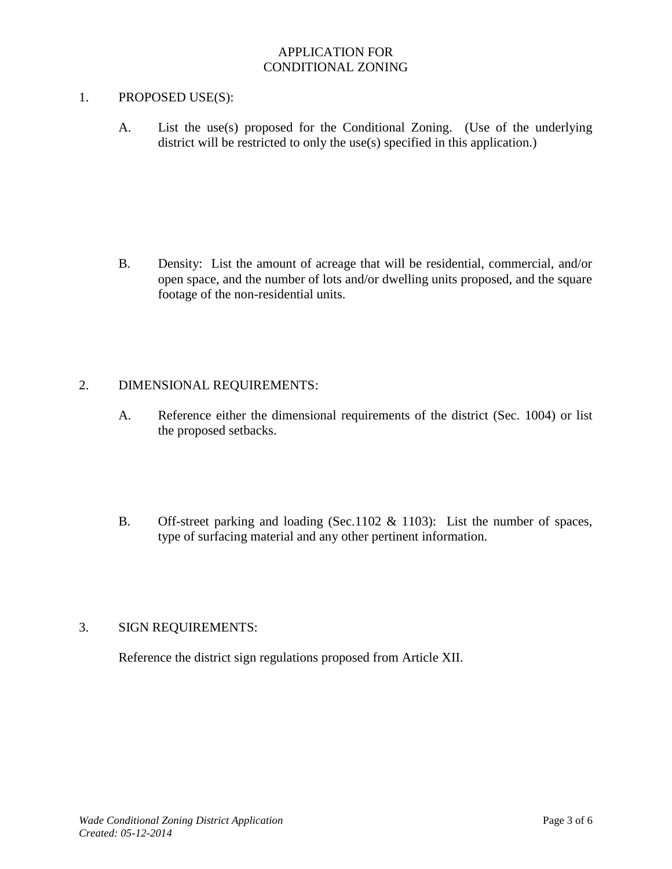## APPLICATION FOR CONDITIONAL ZONING

### 1. PROPOSED USE(S):

A. List the use(s) proposed for the Conditional Zoning. (Use of the underlying district will be restricted to only the use(s) specified in this application.)

B. Density: List the amount of acreage that will be residential, commercial, and/or open space, and the number of lots and/or dwelling units proposed, and the square footage of the non-residential units.

#### 2. DIMENSIONAL REQUIREMENTS:

- A. Reference either the dimensional requirements of the district (Sec. 1004) or list the proposed setbacks.
- B. Off-street parking and loading (Sec.1102 & 1103): List the number of spaces, type of surfacing material and any other pertinent information.

## 3. SIGN REQUIREMENTS:

Reference the district sign regulations proposed from Article XII.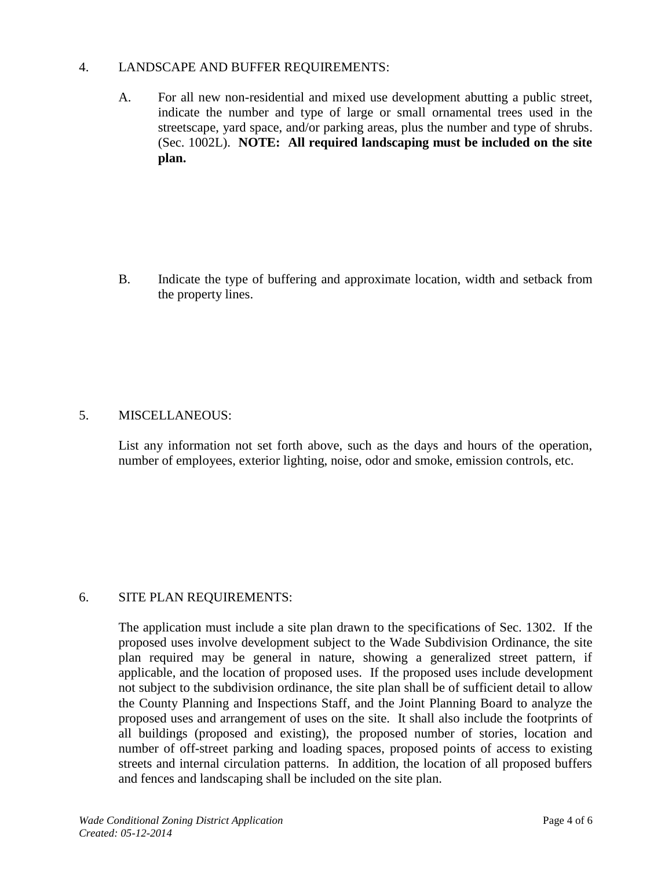### 4. LANDSCAPE AND BUFFER REQUIREMENTS:

A. For all new non-residential and mixed use development abutting a public street, indicate the number and type of large or small ornamental trees used in the streetscape, yard space, and/or parking areas, plus the number and type of shrubs. (Sec. 1002L). **NOTE: All required landscaping must be included on the site plan.**

B. Indicate the type of buffering and approximate location, width and setback from the property lines.

# 5. MISCELLANEOUS:

List any information not set forth above, such as the days and hours of the operation, number of employees, exterior lighting, noise, odor and smoke, emission controls, etc.

# 6. SITE PLAN REQUIREMENTS:

The application must include a site plan drawn to the specifications of Sec. 1302. If the proposed uses involve development subject to the Wade Subdivision Ordinance, the site plan required may be general in nature, showing a generalized street pattern, if applicable, and the location of proposed uses. If the proposed uses include development not subject to the subdivision ordinance, the site plan shall be of sufficient detail to allow the County Planning and Inspections Staff, and the Joint Planning Board to analyze the proposed uses and arrangement of uses on the site. It shall also include the footprints of all buildings (proposed and existing), the proposed number of stories, location and number of off-street parking and loading spaces, proposed points of access to existing streets and internal circulation patterns. In addition, the location of all proposed buffers and fences and landscaping shall be included on the site plan.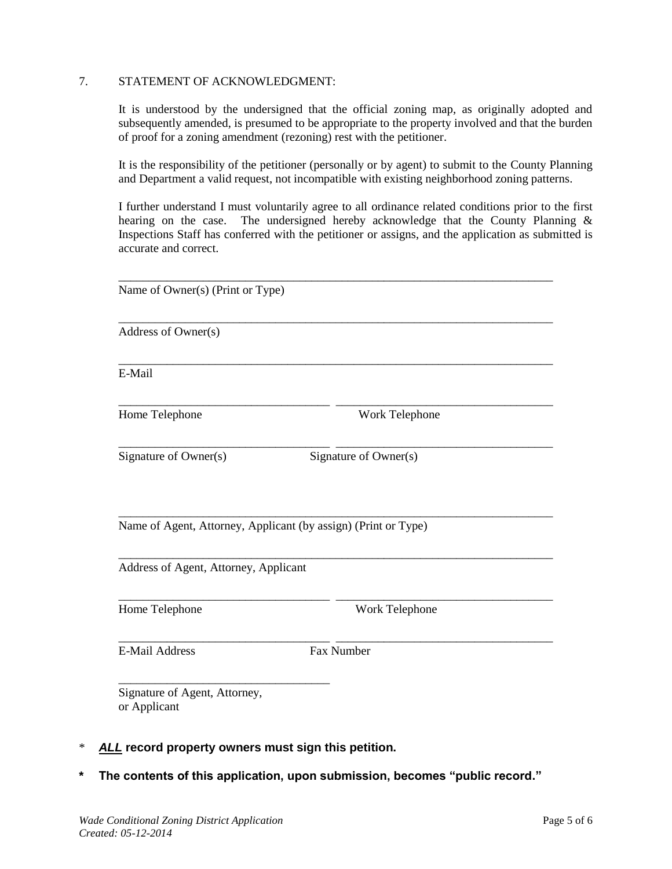#### 7. STATEMENT OF ACKNOWLEDGMENT:

It is understood by the undersigned that the official zoning map, as originally adopted and subsequently amended, is presumed to be appropriate to the property involved and that the burden of proof for a zoning amendment (rezoning) rest with the petitioner.

It is the responsibility of the petitioner (personally or by agent) to submit to the County Planning and Department a valid request, not incompatible with existing neighborhood zoning patterns.

I further understand I must voluntarily agree to all ordinance related conditions prior to the first hearing on the case. The undersigned hereby acknowledge that the County Planning & Inspections Staff has conferred with the petitioner or assigns, and the application as submitted is accurate and correct.

| Name of Owner(s) (Print or Type)              |                                                                |  |
|-----------------------------------------------|----------------------------------------------------------------|--|
| Address of Owner(s)                           |                                                                |  |
| E-Mail                                        |                                                                |  |
| Home Telephone                                | Work Telephone                                                 |  |
| Signature of Owner(s)                         | Signature of Owner(s)                                          |  |
|                                               | Name of Agent, Attorney, Applicant (by assign) (Print or Type) |  |
| Address of Agent, Attorney, Applicant         |                                                                |  |
| Home Telephone                                | Work Telephone                                                 |  |
| <b>E-Mail Address</b>                         | Fax Number                                                     |  |
| Signature of Agent, Attorney,<br>or Applicant |                                                                |  |

- \* *ALL* **record property owners must sign this petition.**
- **\* The contents of this application, upon submission, becomes "public record."**